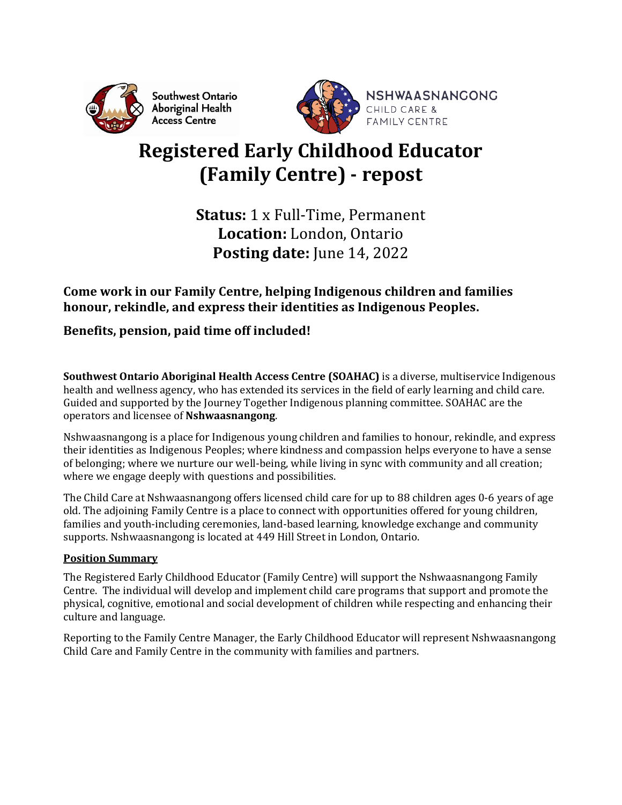

Southwest Ontario Aboriginal Health **Access Centre** 



# **Registered Early Childhood Educator (Family Centre) - repost**

**Status:** 1 x Full-Time, Permanent **Location:** London, Ontario **Posting date:** June 14, 2022

# **Come work in our Family Centre, helping Indigenous children and families honour, rekindle, and express their identities as Indigenous Peoples.**

# **Benefits, pension, paid time off included!**

**Southwest Ontario Aboriginal Health Access Centre (SOAHAC)** is a diverse, multiservice Indigenous health and wellness agency, who has extended its services in the field of early learning and child care. Guided and supported by the Journey Together Indigenous planning committee. SOAHAC are the operators and licensee of **Nshwaasnangong**.

Nshwaasnangong is a place for Indigenous young children and families to honour, rekindle, and express their identities as Indigenous Peoples; where kindness and compassion helps everyone to have a sense of belonging; where we nurture our well-being, while living in sync with community and all creation; where we engage deeply with questions and possibilities.

The Child Care at Nshwaasnangong offers licensed child care for up to 88 children ages 0-6 years of age old. The adjoining Family Centre is a place to connect with opportunities offered for young children, families and youth-including ceremonies, land-based learning, knowledge exchange and community supports. Nshwaasnangong is located at 449 Hill Street in London, Ontario.

# **Position Summary**

The Registered Early Childhood Educator (Family Centre) will support the Nshwaasnangong Family Centre. The individual will develop and implement child care programs that support and promote the physical, cognitive, emotional and social development of children while respecting and enhancing their culture and language.

Reporting to the Family Centre Manager, the Early Childhood Educator will represent Nshwaasnangong Child Care and Family Centre in the community with families and partners.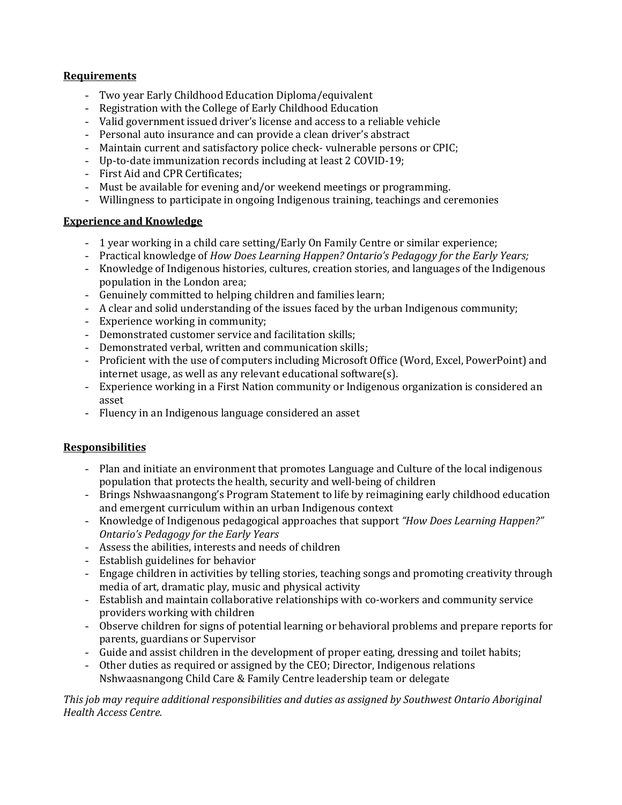# **Requirements**

- Two year Early Childhood Education Diploma/equivalent
- Registration with the College of Early Childhood Education
- Valid government issued driver's license and access to a reliable vehicle
- Personal auto insurance and can provide a clean driver's abstract
- Maintain current and satisfactory police check- vulnerable persons or CPIC;
- Up-to-date immunization records including at least 2 COVID-19;
- First Aid and CPR Certificates;
- Must be available for evening and/or weekend meetings or programming.
- Willingness to participate in ongoing Indigenous training, teachings and ceremonies

#### **Experience and Knowledge**

- 1 year working in a child care setting/Early On Family Centre or similar experience;
- Practical knowledge of *How Does Learning Happen? Ontario's Pedagogy for the Early Years;*
- Knowledge of Indigenous histories, cultures, creation stories, and languages of the Indigenous population in the London area;
- Genuinely committed to helping children and families learn;
- A clear and solid understanding of the issues faced by the urban Indigenous community;
- Experience working in community;
- Demonstrated customer service and facilitation skills;
- Demonstrated verbal, written and communication skills;
- Proficient with the use of computers including Microsoft Office (Word, Excel, PowerPoint) and internet usage, as well as any relevant educational software(s).
- Experience working in a First Nation community or Indigenous organization is considered an asset
- Fluency in an Indigenous language considered an asset

# **Responsibilities**

- Plan and initiate an environment that promotes Language and Culture of the local indigenous population that protects the health, security and well-being of children
- Brings Nshwaasnangong's Program Statement to life by reimagining early childhood education and emergent curriculum within an urban Indigenous context
- Knowledge of Indigenous pedagogical approaches that support *"How Does Learning Happen?" Ontario's Pedagogy for the Early Years*
- Assess the abilities, interests and needs of children
- Establish guidelines for behavior
- Engage children in activities by telling stories, teaching songs and promoting creativity through media of art, dramatic play, music and physical activity
- Establish and maintain collaborative relationships with co-workers and community service providers working with children
- Observe children for signs of potential learning or behavioral problems and prepare reports for parents, guardians or Supervisor
- Guide and assist children in the development of proper eating, dressing and toilet habits;
- Other duties as required or assigned by the CEO; Director, Indigenous relations Nshwaasnangong Child Care & Family Centre leadership team or delegate

*This job may require additional responsibilities and duties as assigned by Southwest Ontario Aboriginal Health Access Centre.*